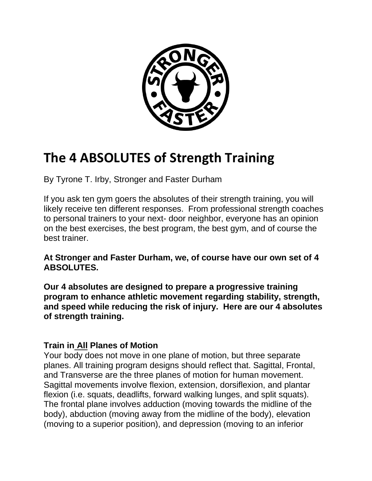

# **The 4 ABSOLUTES of Strength Training**

By Tyrone T. Irby, Stronger and Faster Durham

If you ask ten gym goers the absolutes of their strength training, you will likely receive ten different responses. From professional strength coaches to personal trainers to your next- door neighbor, everyone has an opinion on the best exercises, the best program, the best gym, and of course the best trainer.

## **At Stronger and Faster Durham, we, of course have our own set of 4 ABSOLUTES.**

**Our 4 absolutes are designed to prepare a progressive training program to enhance athletic movement regarding stability, strength, and speed while reducing the risk of injury. Here are our 4 absolutes of strength training.**

## **Train in All Planes of Motion**

Your body does not move in one plane of motion, but three separate planes. All training program designs should reflect that. Sagittal, Frontal, and Transverse are the three planes of motion for human movement. Sagittal movements involve flexion, extension, dorsiflexion, and plantar flexion (i.e. squats, deadlifts, forward walking lunges, and split squats). The frontal plane involves adduction (moving towards the midline of the body), abduction (moving away from the midline of the body), elevation (moving to a superior position), and depression (moving to an inferior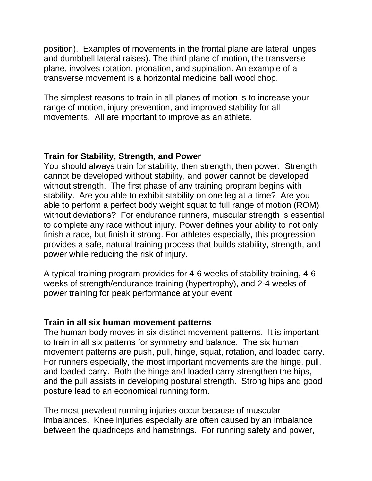position). Examples of movements in the frontal plane are lateral lunges and dumbbell lateral raises). The third plane of motion, the transverse plane, involves rotation, pronation, and supination. An example of a transverse movement is a horizontal medicine ball wood chop.

The simplest reasons to train in all planes of motion is to increase your range of motion, injury prevention, and improved stability for all movements. All are important to improve as an athlete.

## **Train for Stability, Strength, and Power**

You should always train for stability, then strength, then power. Strength cannot be developed without stability, and power cannot be developed without strength. The first phase of any training program begins with stability. Are you able to exhibit stability on one leg at a time? Are you able to perform a perfect body weight squat to full range of motion (ROM) without deviations? For endurance runners, muscular strength is essential to complete any race without injury. Power defines your ability to not only finish a race, but finish it strong. For athletes especially, this progression provides a safe, natural training process that builds stability, strength, and power while reducing the risk of injury.

A typical training program provides for 4-6 weeks of stability training, 4-6 weeks of strength/endurance training (hypertrophy), and 2-4 weeks of power training for peak performance at your event.

#### **Train in all six human movement patterns**

The human body moves in six distinct movement patterns. It is important to train in all six patterns for symmetry and balance. The six human movement patterns are push, pull, hinge, squat, rotation, and loaded carry. For runners especially, the most important movements are the hinge, pull, and loaded carry. Both the hinge and loaded carry strengthen the hips, and the pull assists in developing postural strength. Strong hips and good posture lead to an economical running form.

The most prevalent running injuries occur because of muscular imbalances. Knee injuries especially are often caused by an imbalance between the quadriceps and hamstrings. For running safety and power,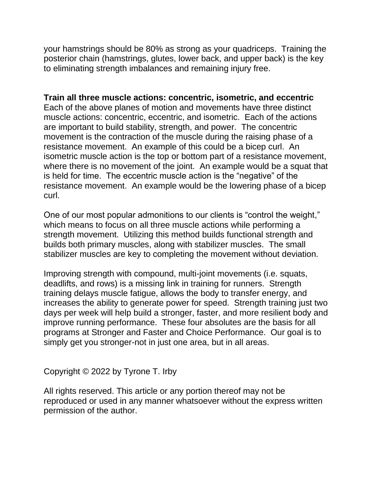your hamstrings should be 80% as strong as your quadriceps. Training the posterior chain (hamstrings, glutes, lower back, and upper back) is the key to eliminating strength imbalances and remaining injury free.

**Train all three muscle actions: concentric, isometric, and eccentric** Each of the above planes of motion and movements have three distinct muscle actions: concentric, eccentric, and isometric. Each of the actions are important to build stability, strength, and power. The concentric movement is the contraction of the muscle during the raising phase of a resistance movement. An example of this could be a bicep curl. An isometric muscle action is the top or bottom part of a resistance movement, where there is no movement of the joint. An example would be a squat that is held for time. The eccentric muscle action is the "negative" of the resistance movement. An example would be the lowering phase of a bicep curl.

One of our most popular admonitions to our clients is "control the weight," which means to focus on all three muscle actions while performing a strength movement. Utilizing this method builds functional strength and builds both primary muscles, along with stabilizer muscles. The small stabilizer muscles are key to completing the movement without deviation.

Improving strength with compound, multi-joint movements (i.e. squats, deadlifts, and rows) is a missing link in training for runners. Strength training delays muscle fatigue, allows the body to transfer energy, and increases the ability to generate power for speed. Strength training just two days per week will help build a stronger, faster, and more resilient body and improve running performance. These four absolutes are the basis for all programs at Stronger and Faster and Choice Performance. Our goal is to simply get you stronger-not in just one area, but in all areas.

Copyright © 2022 by Tyrone T. Irby

All rights reserved. This article or any portion thereof may not be reproduced or used in any manner whatsoever without the express written permission of the author.